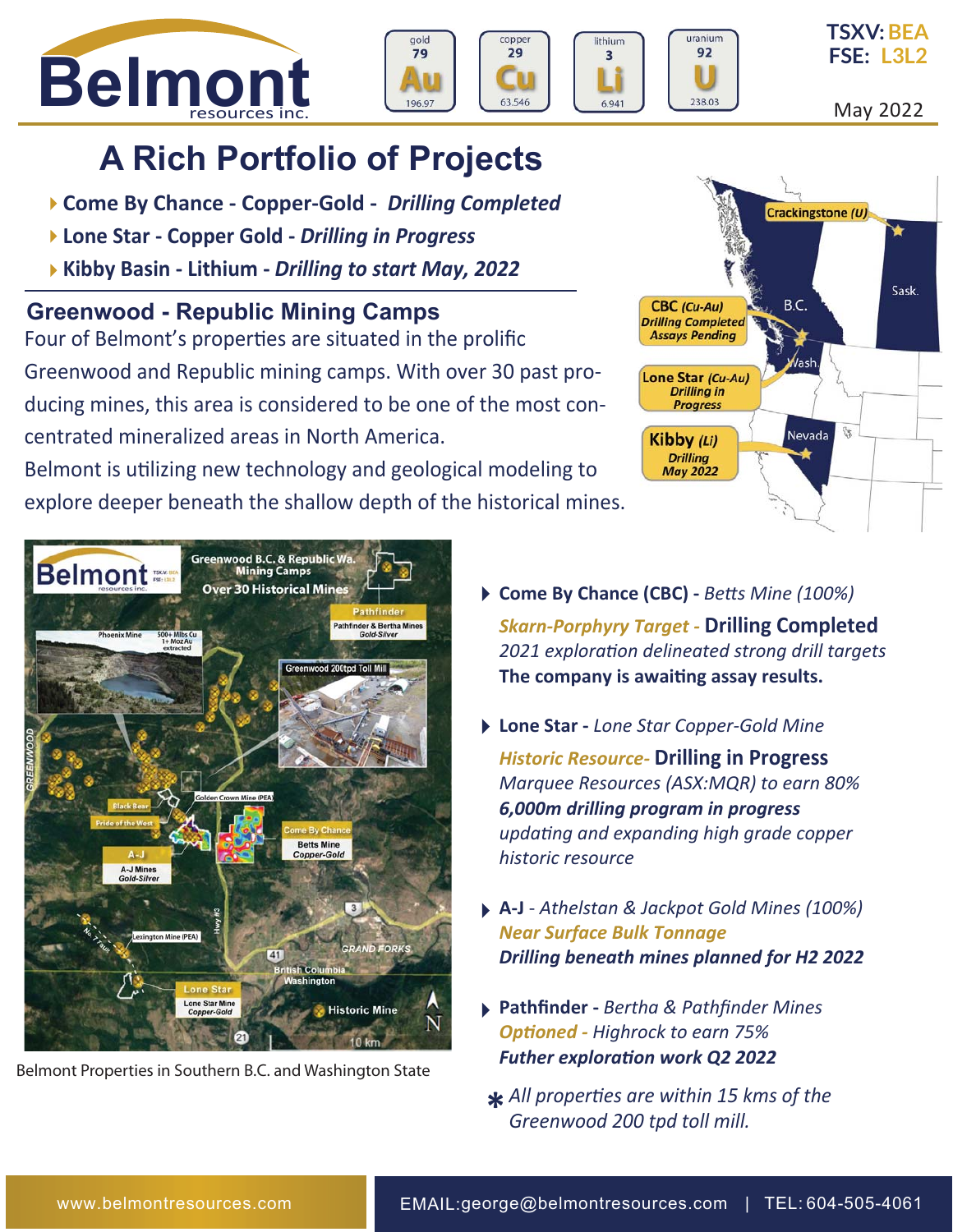







May 2022

# **A Rich Portfolio of Projects**

- **Come By Chance Copper-Gold** *Drilling Completed*
- **Lone Star Copper Gold** *Drilling in Progress*
- **Kibby Basin Lithium** *Drilling to start May, 2022*

### **Greenwood - Republic Mining Camps**

Four of Belmont's properties are situated in the prolific Greenwood and Republic mining camps. With over 30 past producing mines, this area is considered to be one of the most concentrated mineralized areas in North America.

Belmont is uƟlizing new technology and geological modeling to explore deeper beneath the shallow depth of the historical mines.





Belmont Properties in Southern B.C. and Washington State

- **Come By Chance (CBC)** *BeƩs Mine (100%) Skarn-Porphyry Target -* **Drilling Completed** *2021 exploraƟon delineated strong drill targets*  **The company is awaiƟng assay results.**
- **Lone Star -** *Lone Star Copper-Gold Mine Historic Resource-* **Drilling in Progress** *Marquee Resources (ASX:MQR) to earn 80% 6,000m drilling program in progress updaƟng and expanding high grade copper historic resource*
- **A-J** *Athelstan & Jackpot Gold Mines (100%) Near Surface Bulk Tonnage Drilling beneath mines planned for H2 2022*
- **Pathfinder -** *Bertha & Pathfinder Mines OpƟoned - Highrock to earn 75% Futher exploraƟon work Q2 2022*
- $*$  All properties are within 15 kms of the Greenwood 200 tpd toll mill. *Greenwood 200 tpd toll mill.*